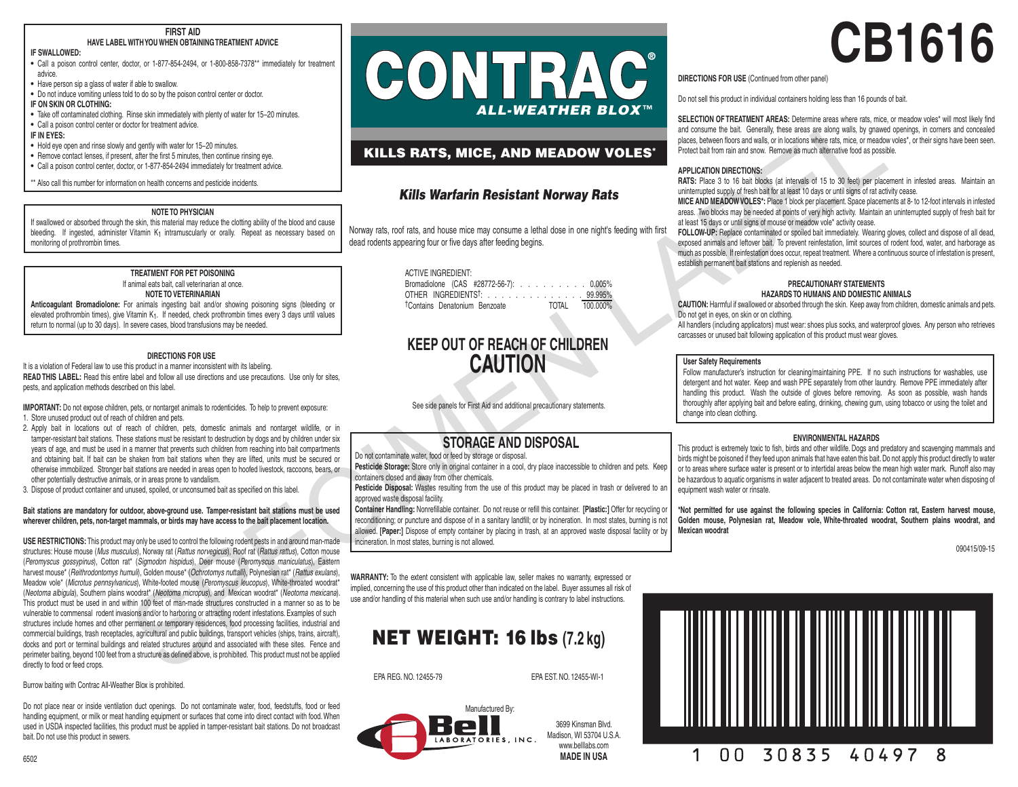#### **FIRST AID HAVE LABEL WITH YOU WHEN OBTAINING TREATMENT ADVICE**

# **IF SWALLOWED:**

• Call a poison control center, doctor, or 1-877-854-2494, or 1-800-858-7378\*\* immediately for treatment advice.

• Have person sip a glass of water if able to swallow.

• Do not induce vomiting unless told to do so by the poison control center or doctor.

# **IF ON SKIN OR CLOTHING:**

• Take off contaminated clothing. Rinse skin immediately with plenty of water for 15−20 minutes. • Call a poison control center or doctor for treatment advice.

## **IF IN EYES:**

• Hold eye open and rinse slowly and gently with water for 15−20 minutes.

• Remove contact lenses, if present, after the first 5 minutes, then continue rinsing eye.

• Call a poison control center, doctor, or 1-877-854-2494 immediately for treatment advice.

\*\* Also call this number for information on health concerns and pesticide incidents.

# **NOTE TO PHYSICIAN**

If swallowed or absorbed through the skin, this material may reduce the clotting ability of the blood and cause bleeding. If ingested, administer Vitamin K<sub>1</sub> intramuscularly or orally. Repeat as necessary based on monitoring of prothrombin times.

# **TREATMENT FOR PET POISONING** If animal eats bait, call veterinarian at once.

## **NOTE TO VETERINARIAN**

**Anticoagulant Bromadiolone:** For animals ingesting bait and/or showing poisoning signs (bleeding or elevated prothrombin times), give Vitamin K<sub>1</sub>. If needed, check prothrombin times every 3 days until values return to normal (up to 30 days). In severe cases, blood transfusions may be needed.

# **DIRECTIONS FOR USE**

It is a violation of Federal law to use this product in a manner inconsistent with its labeling. **READ THIS LABEL:** Read this entire label and follow all use directions and use precautions. Use only for sites, pests, and application methods described on this label.

**IMPORTANT:** Do not expose children, pets, or nontarget animals to rodenticides. To help to prevent exposure: 1. Store unused product out of reach of children and pets.

- 
- 2. Apply bait in locations out of reach of children, pets, domestic animals and nontarget wildlife, or in tamper-resistant bait stations. These stations must be resistant to destruction by dogs and by children under six years of age, and must be used in a manner that prevents such children from reaching into bait compartments and obtaining bait. If bait can be shaken from bait stations when they are lifted, units must be secured or otherwise immobilized. Stronger bait stations are needed in areas open to hoofed livestock, raccoons, bears, or other potentially destructive animals, or in areas prone to vandalism.

3. Dispose of product container and unused, spoiled, or unconsumed bait as specified on this label.

# **Bait stations are mandatory for outdoor, above-ground use. Tamper-resistant bait stations must be used wherever children, pets, non-target mammals, or birds may have access to the bait placement location.**

**USE RESTRICTIONS:** This product may only be used to control the following rodent pests in and around man-made structures: House mouse (*Mus musculus*), Norway rat (*Rattus norvegicus*), Roof rat (*Rattus rattus*), Cotton mouse (*Peromyscus gossypinus*), Cotton rat\* (*Sigmodon hispidus*), Deer mouse (*Peromyscus maniculatus*), Eastern harvest mouse\* (*Reithrodontomys humuli*), Golden mouse\* (*Ochrotomys nuttalli*), Polynesian rat\* (*Rattus exulans*), Meadow vole\* (*Microtus pennsylvanicus*), White-footed mouse (*Peromyscus leucopus*), White-throated woodrat\* (*Neotoma albigula*), Southern plains woodrat\* (*Neotoma micropus*), and Mexican woodrat\* (*Neotoma mexicana*). This product must be used in and within 100 feet of man-made structures constructed in a manner so as to be vulnerable to commensal rodent invasions and/or to harboring or attracting rodent infestations. Examples of such structures include homes and other permanent or temporary residences, food processing facilities, industrial and commercial buildings, trash receptacles, agricultural and public buildings, transport vehicles (ships, trains, aircraft), docks and port or terminal buildings and related structures around and associated with these sites. Fence and perimeter baiting, beyond 100 feet from a structure as defined above, is prohibited. This product must not be applied directly to food or feed crops. EXAMENTARY CONTROL CONTROL CONTROL CONTROL CONTROL CONTROL CONTROL CONTROL CONTROL CONTROL CONTROL CONTROL CONTROL CONTROL CONTROL CONTROL CONTROL CONTROL CONTROL CONTROL CONTROL CONTROL CONTROL CONTROL CONTROL CONTROL CO

Burrow baiting with Contrac All-Weather Blox is prohibited.

Do not place near or inside ventilation duct openings. Do not contaminate water, food, feedstuffs, food or feed handling equipment, or milk or meat handling equipment or surfaces that come into direct contact with food. When used in USDA inspected facilities, this product must be applied in tamper-resistant bait stations. Do not broadcast bait. Do not use this product in sewers.

# ® CONTRAC *ALL-WEATHER BLOX* ™

# KILLS RATS, MICE, AND MEADOW VOLES\*

# *Kills Warfarin Resistant Norway Rats*

Norway rats, roof rats, and house mice may consume a lethal dose in one night's feeding with first dead rodents appearing four or five days after feeding begins.

| <b>ACTIVE INGREDIENT:</b>                 |                |
|-------------------------------------------|----------------|
| Bromadiolone (CAS #28772-56-7): 0.005%    |                |
| OTHER INGREDIENTS <sup>†</sup> : 99.995%  |                |
| <sup>†</sup> Contains Denatonium Benzoate | TOTAL 100.000% |

# **KEEP OUT OF REACH OF CHILDREN CAUTION**

See side panels for First Aid and additional precautionary statements.

# **STORAGE AND DISPOSAL**

Do not contaminate water, food or feed by storage or disposal.

Pesticide Storage: Store only in original container in a cool, dry place inaccessible to children and pets. Keep containers closed and away from other chemicals.

Pesticide Disposal: Wastes resulting from the use of this product may be placed in trash or delivered to an approved waste disposal facility.

**Container Handling:** Nonrefillable container. Do not reuse or refill this container. **[Plastic:]** Offer for recycling or reconditioning; or puncture and dispose of in a sanitary landfill; or by incineration. In most states, burning is not allowed. **[Paper:]** Dispose of empty container by placing in trash, at an approved waste disposal facility or by incineration. In most states, burning is not allowed.

**WARRANTY:** To the extent consistent with applicable law, seller makes no warranty, expressed or implied, concerning the use of this product other than indicated on the label. Buyer assumes all risk of use and/or handling of this material when such use and/or handling is contrary to label instructions.

# NET WEIGHT: 16 lbs **(7.2 kg)**

EPA REG. NO. 12455-79 EPA EST. NO. 12455-WI-1



3699 Kinsman Blvd. Madison, WI 53704 U.S.A. www.helllahs.com **MADE IN USA**

# **CB1616**

**DIRECTIONS FOR USE** (Continued from other panel)

Do not sell this product in individual containers holding less than 16 pounds of bait.

**SELECTION OF TREATMENT AREAS:** Determine areas where rats, mice, or meadow voles\* will most likely find and consume the bait. Generally, these areas are along walls, by gnawed openings, in corners and concealed places, between floors and walls, or in locations where rats, mice, or meadow voles\*, or their signs have been seen. Protect bait from rain and snow. Remove as much alternative food as possible.

# **APPLICATION DIRECTIONS:**

**RATS:** Place 3 to 16 bait blocks (at intervals of 15 to 30 feet) per placement in infested areas. Maintain an uninterrupted supply of fresh bait for at least 10 days or until signs of rat activity cease.

**MICE AND MEADOW VOLES\*:** Place 1 block per placement. Space placements at 8- to 12-foot intervals in infested areas. Two blocks may be needed at points of very high activity. Maintain an uninterrupted supply of fresh bait for at least 15 days or until signs of mouse or meadow vole\* activity cease.

**FOLLOW-UP:** Replace contaminated or spoiled bait immediately. Wearing gloves, collect and dispose of all dead, exposed animals and leftover bait. To prevent reinfestation, limit sources of rodent food, water, and harborage as much as possible. If reinfestation does occur, repeat treatment. Where a continuous source of infestation is present, establish permanent bait stations and replenish as needed.

#### **PRECAUTIONARY STATEMENTS HAZARDS TO HUMANS AND DOMESTIC ANIMALS**

**CAUTION:** Harmful if swallowed or absorbed through the skin. Keep away from children, domestic animals and pets. Do not get in eyes, on skin or on clothing.

All handlers (including applicators) must wear: shoes plus socks, and waterproof gloves. Any person who retrieves carcasses or unused bait following application of this product must wear gloves.

# **User Safety Requirements**

Follow manufacturer's instruction for cleaning/maintaining PPE. If no such instructions for washables, use detergent and hot water. Keep and wash PPE separately from other laundry. Remove PPE immediately after handling this product. Wash the outside of gloves before removing. As soon as possible, wash hands thoroughly after applying bait and before eating, drinking, chewing gum, using tobacco or using the toilet and change into clean clothing.

# **ENVIRONMENTAL HAZARDS**

This product is extremely toxic to fish, birds and other wildlife. Dogs and predatory and scavenging mammals and birds might be poisoned if they feed upon animals that have eaten this bait. Do not apply this product directly to water or to areas where surface water is present or to intertidal areas below the mean high water mark. Runoff also may be hazardous to aquatic organisms in water adjacent to treated areas. Do not contaminate water when disposing of equipment wash water or rinsate.

**\*Not permitted for use against the following species in California: Cotton rat, Eastern harvest mouse, Golden mouse, Polynesian rat, Meadow vole, White-throated woodrat, Southern plains woodrat, and Mexican woodrat**

090415/09-15

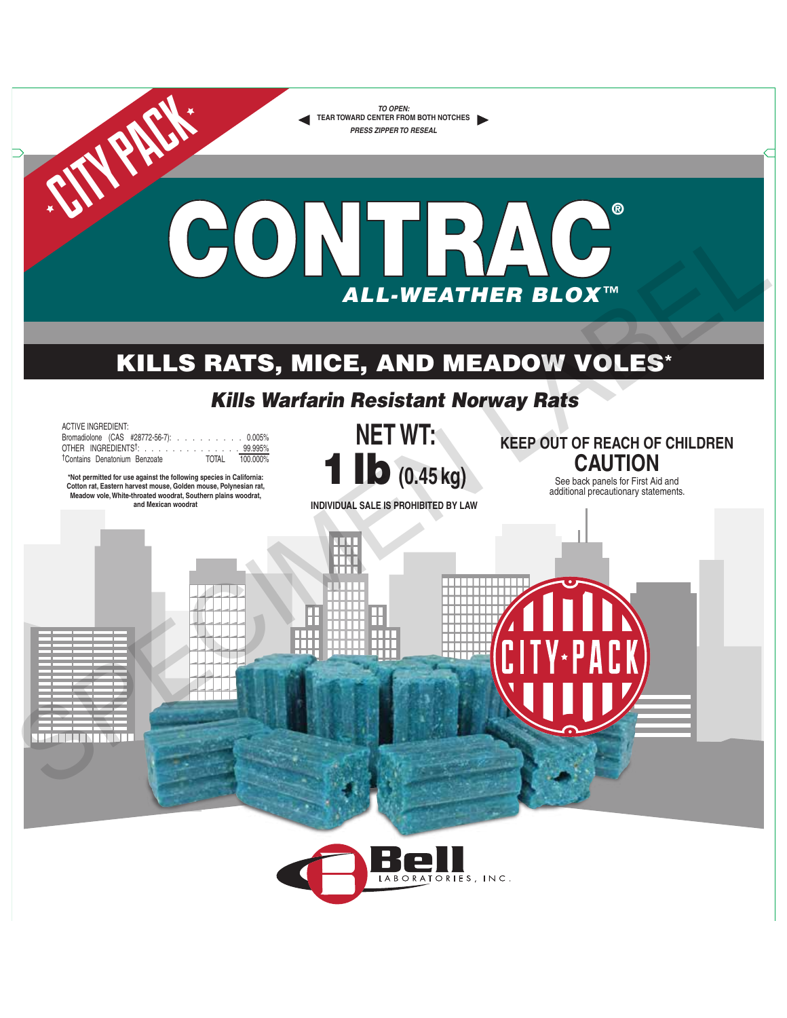